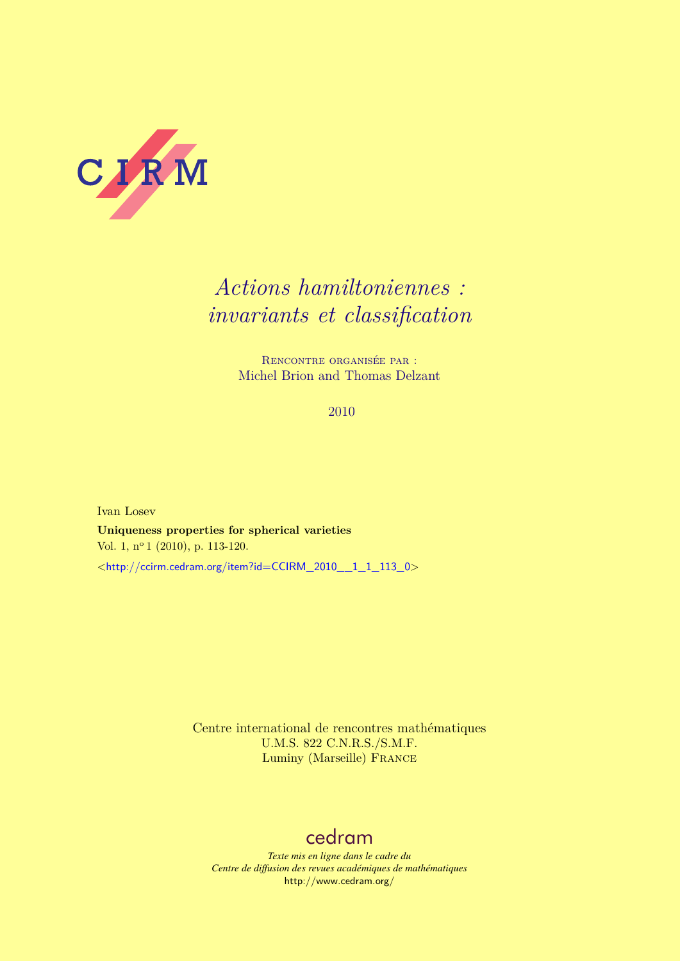

# *Actions hamiltoniennes : invariants et classification*

Rencontre organisée par : Michel Brion and Thomas Delzant

2010

Ivan Losev **Uniqueness properties for spherical varieties** Vol. 1, nº 1 (2010), p. 113-120. <[http://ccirm.cedram.org/item?id=CCIRM\\_2010\\_\\_1\\_1\\_113\\_0](http://ccirm.cedram.org/item?id=CCIRM_2010__1_1_113_0)>

> Centre international de rencontres mathématiques U.M.S. 822 C.N.R.S./S.M.F. Luminy (Marseille) France

## [cedram](http://www.cedram.org/)

*Texte mis en ligne dans le cadre du Centre de diffusion des revues académiques de mathématiques* <http://www.cedram.org/>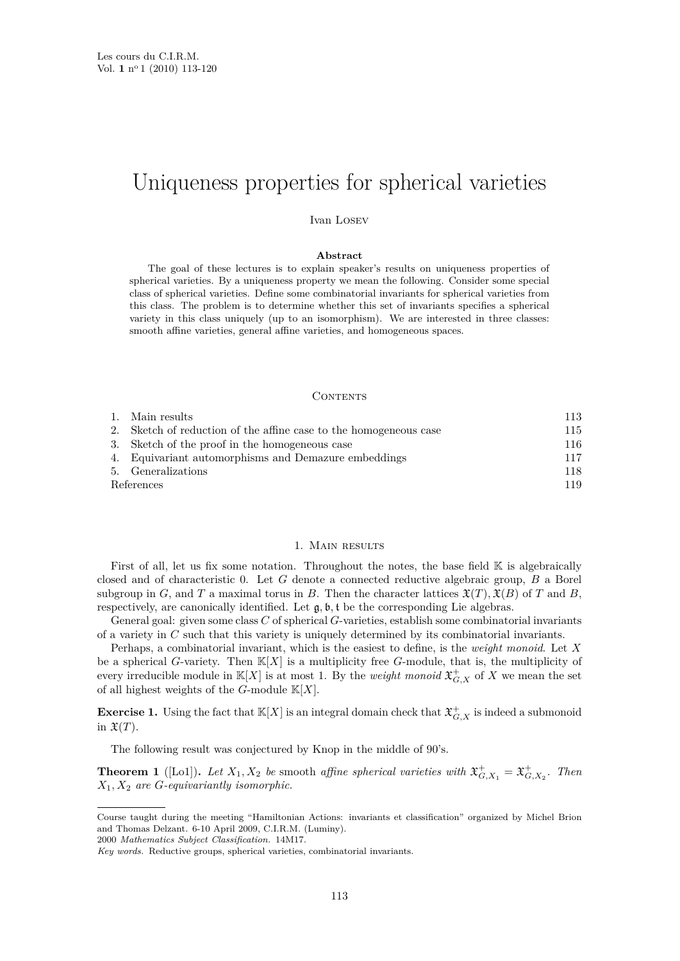# <span id="page-1-0"></span>Uniqueness properties for spherical varieties

Ivan Losev

#### **Abstract**

The goal of these lectures is to explain speaker's results on uniqueness properties of spherical varieties. By a uniqueness property we mean the following. Consider some special class of spherical varieties. Define some combinatorial invariants for spherical varieties from this class. The problem is to determine whether this set of invariants specifies a spherical variety in this class uniquely (up to an isomorphism). We are interested in three classes: smooth affine varieties, general affine varieties, and homogeneous spaces.

#### CONTENTS

|            | 1. Main results                                                   | 113 |
|------------|-------------------------------------------------------------------|-----|
|            | 2. Sketch of reduction of the affine case to the homogeneous case | 115 |
|            | 3. Sketch of the proof in the homogeneous case                    | 116 |
|            | 4. Equivariant automorphisms and Demazure embeddings              | 117 |
|            | 5. Generalizations                                                | 118 |
| References |                                                                   | 119 |

### 1. MAIN RESULTS

First of all, let us fix some notation. Throughout the notes, the base field  $\mathbb K$  is algebraically closed and of characteristic 0. Let *G* denote a connected reductive algebraic group, *B* a Borel subgroup in *G*, and *T* a maximal torus in *B*. Then the character lattices  $\mathfrak{X}(T), \mathfrak{X}(B)$  of *T* and *B*, respectively, are canonically identified. Let g*,* b*,* t be the corresponding Lie algebras.

General goal: given some class *C* of spherical *G*-varieties, establish some combinatorial invariants of a variety in *C* such that this variety is uniquely determined by its combinatorial invariants.

Perhaps, a combinatorial invariant, which is the easiest to define, is the *weight monoid*. Let *X* be a spherical *G*-variety. Then  $\mathbb{K}[X]$  is a multiplicity free *G*-module, that is, the multiplicity of every irreducible module in  $\mathbb{K}[X]$  is at most 1. By the *weight monoid*  $\mathfrak{X}^+_{G,X}$  of X we mean the set of all highest weights of the *G*-module K[*X*].

**Exercise 1.** Using the fact that  $\mathbb{K}[X]$  is an integral domain check that  $\mathfrak{X}^+_{G,X}$  is indeed a submonoid in  $\mathfrak{X}(T)$ .

The following result was conjectured by Knop in the middle of 90's.

**Theorem 1** ([\[Lo1\]](#page-7-0)). Let  $X_1, X_2$  be smooth affine spherical varieties with  $\mathfrak{X}^+_{G,X_1} = \mathfrak{X}^+_{G,X_2}$ . Then *X*1*, X*<sup>2</sup> *are G-equivariantly isomorphic.*

2000 *Mathematics Subject Classification.* 14M17.

Course taught during the meeting "Hamiltonian Actions: invariants et classification" organized by Michel Brion and Thomas Delzant. 6-10 April 2009, C.I.R.M. (Luminy).

*Key words.* Reductive groups, spherical varieties, combinatorial invariants.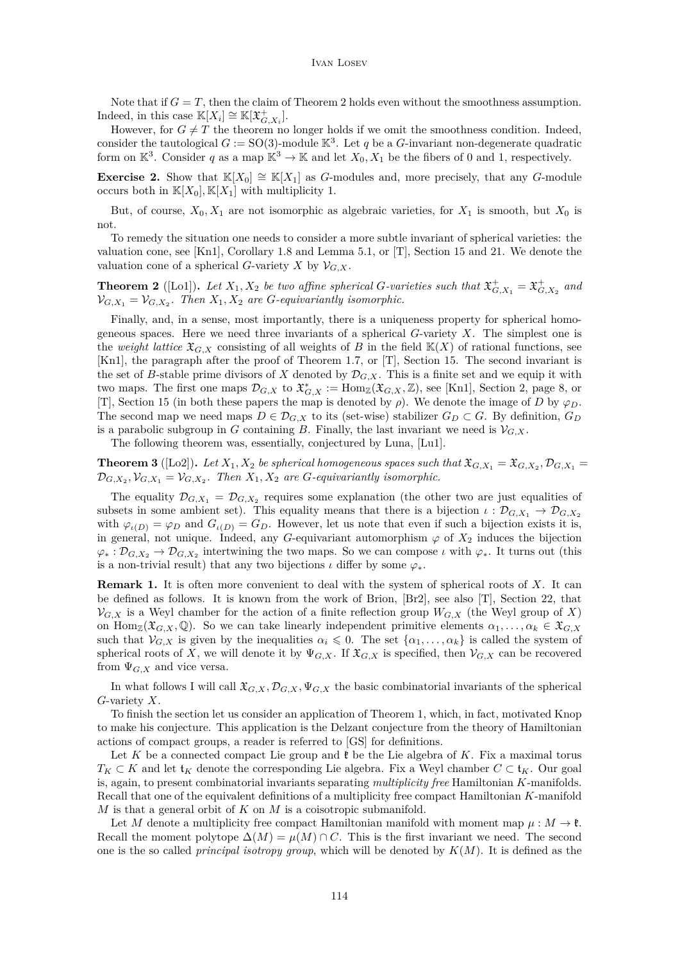#### Ivan Losev

<span id="page-2-0"></span>Note that if  $G = T$ , then the claim of Theorem 2 holds even without the smoothness assumption. Indeed, in this case  $\mathbb{K}[X_i] \cong \mathbb{K}[\mathfrak{X}^+_{G,X_i}].$ 

However, for  $G \neq T$  the theorem no longer holds if we omit the smoothness condition. Indeed, consider the tautological  $G := SO(3)$ -module  $\mathbb{K}^3$ . Let q be a G-invariant non-degenerate quadratic form on  $\mathbb{K}^3$ . Consider q as a map  $\mathbb{K}^3 \to \mathbb{K}$  and let  $X_0, X_1$  be the fibers of 0 and 1, respectively.

**Exercise 2.** Show that  $\mathbb{K}[X_0] \cong \mathbb{K}[X_1]$  as *G*-modules and, more precisely, that any *G*-module occurs both in  $\mathbb{K}[X_0], \mathbb{K}[X_1]$  with multiplicity 1.

But, of course,  $X_0, X_1$  are not isomorphic as algebraic varieties, for  $X_1$  is smooth, but  $X_0$  is not.

To remedy the situation one needs to consider a more subtle invariant of spherical varieties: the valuation cone, see [\[Kn1\]](#page-7-0), Corollary 1.8 and Lemma 5.1, or  $|T|$ , Section 15 and 21. We denote the valuation cone of a spherical *G*-variety *X* by  $V_{G,X}$ .

**Theorem 2** ([\[Lo1\]](#page-7-0)). Let  $X_1, X_2$  be two affine spherical *G*-varieties such that  $\mathfrak{X}^+_{G,X_1} = \mathfrak{X}^+_{G,X_2}$  and  $\mathcal{V}_{G,X_1} = \mathcal{V}_{G,X_2}$ . Then  $X_1, X_2$  are *G*-equivariantly isomorphic.

Finally, and, in a sense, most importantly, there is a uniqueness property for spherical homogeneous spaces. Here we need three invariants of a spherical *G*-variety *X*. The simplest one is the *weight lattice*  $\mathfrak{X}_{G,X}$  consisting of all weights of *B* in the field  $\mathbb{K}(X)$  of rational functions, see [\[Kn1\]](#page-7-0), the paragraph after the proof of Theorem 1.7, or [\[T\]](#page-8-0), Section 15. The second invariant is the set of *B*-stable prime divisors of *X* denoted by  $\mathcal{D}_{G,X}$ . This is a finite set and we equip it with two maps. The first one maps  $\mathcal{D}_{G,X}$  to  $\mathfrak{X}_{G,X}^* := \text{Hom}_{\mathbb{Z}}(\mathfrak{X}_{G,X}, \mathbb{Z})$ , see [\[Kn1\]](#page-7-0), Section 2, page 8, or [\[T\]](#page-8-0), Section 15 (in both these papers the map is denoted by  $\rho$ ). We denote the image of *D* by  $\varphi_D$ . The second map we need maps  $D \in \mathcal{D}_{G,X}$  to its (set-wise) stabilizer  $G_D \subset G$ . By definition,  $G_D$ is a parabolic subgroup in *G* containing *B*. Finally, the last invariant we need is  $V_{G,X}$ .

The following theorem was, essentially, conjectured by Luna, [\[Lu1\]](#page-8-0).

**Theorem 3** ([\[Lo2\]](#page-8-0)). Let  $X_1, X_2$  be spherical homogeneous spaces such that  $\mathfrak{X}_{G,X_1} = \mathfrak{X}_{G,X_2}, \mathcal{D}_{G,X_1} = \mathfrak{X}_{G,X_2}$  $\mathcal{D}_{G,X_2}, \mathcal{V}_{G,X_1} = \mathcal{V}_{G,X_2}$ . Then  $X_1, X_2$  are *G*-equivariantly isomorphic.

The equality  $\mathcal{D}_{G,X_1} = \mathcal{D}_{G,X_2}$  requires some explanation (the other two are just equalities of subsets in some ambient set). This equality means that there is a bijection  $\iota : \mathcal{D}_{G,X_1} \to \mathcal{D}_{G,X_2}$ with  $\varphi_{\iota(D)} = \varphi_D$  and  $G_{\iota(D)} = G_D$ . However, let us note that even if such a bijection exists it is, in general, not unique. Indeed, any *G*-equivariant automorphism  $\varphi$  of  $X_2$  induces the bijection  $\varphi_*: \mathcal{D}_{G,X_2} \to \mathcal{D}_{G,X_2}$  intertwining the two maps. So we can compose *ι* with  $\varphi_*$ . It turns out (this is a non-trivial result) that any two bijections  $\iota$  differ by some  $\varphi_*$ .

**Remark 1.** It is often more convenient to deal with the system of spherical roots of *X*. It can be defined as follows. It is known from the work of Brion, [\[Br2\]](#page-7-0), see also [\[T\]](#page-8-0), Section 22, that  $V_{G,X}$  is a Weyl chamber for the action of a finite reflection group  $W_{G,X}$  (the Weyl group of X) on  $\text{Hom}_{\mathbb{Z}}(\mathfrak{X}_{G,X},\mathbb{Q})$ . So we can take linearly independent primitive elements  $\alpha_1,\ldots,\alpha_k\in \mathfrak{X}_{G,X}$ such that  $V_{G,X}$  is given by the inequalities  $\alpha_i \leq 0$ . The set  $\{\alpha_1, \ldots, \alpha_k\}$  is called the system of spherical roots of *X*, we will denote it by  $\Psi_{G,X}$ . If  $\mathfrak{X}_{G,X}$  is specified, then  $\mathcal{V}_{G,X}$  can be recovered from  $\Psi_{G,X}$  and vice versa.

In what follows I will call  $\mathfrak{X}_{G,X}, \mathcal{D}_{G,X}, \Psi_{G,X}$  the basic combinatorial invariants of the spherical *G*-variety *X*.

To finish the section let us consider an application of Theorem [1,](#page-1-0) which, in fact, motivated Knop to make his conjecture. This application is the Delzant conjecture from the theory of Hamiltonian actions of compact groups, a reader is referred to [\[GS\]](#page-7-0) for definitions.

Let K be a connected compact Lie group and  $\ell$  be the Lie algebra of K. Fix a maximal torus *T*<sub>*K*</sub> ⊂ *K* and let  $\mathfrak{t}_K$  denote the corresponding Lie algebra. Fix a Weyl chamber  $C \subset \mathfrak{t}_K$ . Our goal is, again, to present combinatorial invariants separating *multiplicity free* Hamiltonian *K*-manifolds. Recall that one of the equivalent definitions of a multiplicity free compact Hamiltonian *K*-manifold *M* is that a general orbit of *K* on *M* is a coisotropic submanifold.

Let *M* denote a multiplicity free compact Hamiltonian manifold with moment map  $\mu : M \to \mathfrak{k}$ . Recall the moment polytope  $\Delta(M) = \mu(M) \cap C$ . This is the first invariant we need. The second one is the so called *principal isotropy group*, which will be denoted by *K*(*M*). It is defined as the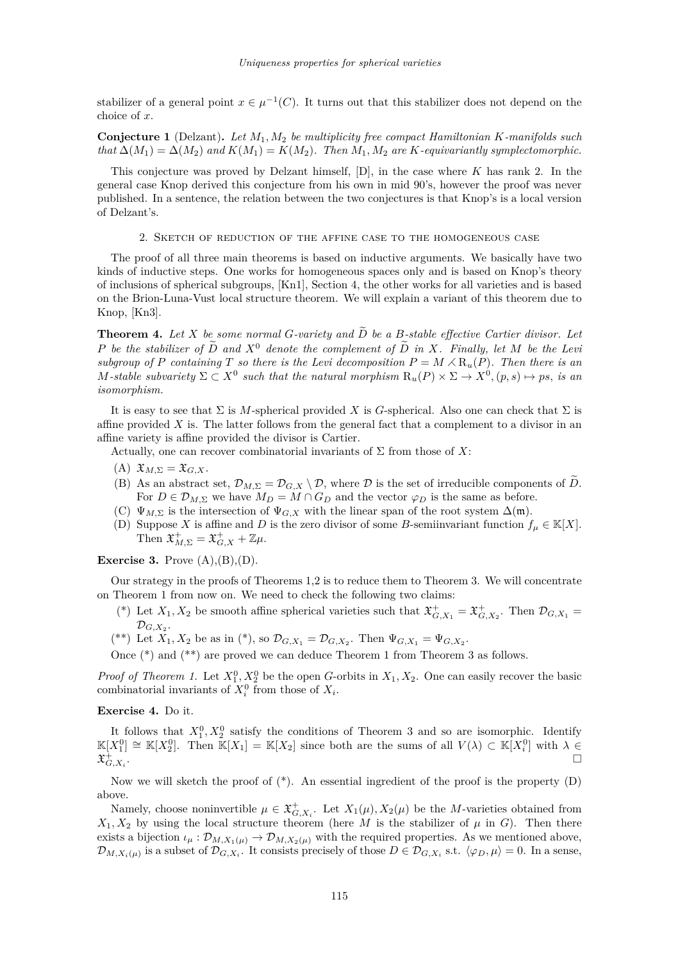<span id="page-3-0"></span>stabilizer of a general point  $x \in \mu^{-1}(C)$ . It turns out that this stabilizer does not depend on the choice of *x*.

**Conjecture 1** (Delzant)**.** *Let M*1*, M*<sup>2</sup> *be multiplicity free compact Hamiltonian K-manifolds such*  $that \Delta(M_1) = \Delta(M_2)$  and  $K(M_1) = K(M_2)$ . Then  $M_1, M_2$  are K-equivariantly symplectomorphic.

This conjecture was proved by Delzant himself, [\[D\]](#page-7-0), in the case where *K* has rank 2. In the general case Knop derived this conjecture from his own in mid 90's, however the proof was never published. In a sentence, the relation between the two conjectures is that Knop's is a local version of Delzant's.

2. Sketch of reduction of the affine case to the homogeneous case

The proof of all three main theorems is based on inductive arguments. We basically have two kinds of inductive steps. One works for homogeneous spaces only and is based on Knop's theory of inclusions of spherical subgroups, [\[Kn1\]](#page-7-0), Section 4, the other works for all varieties and is based on the Brion-Luna-Vust local structure theorem. We will explain a variant of this theorem due to Knop, [\[Kn3\]](#page-7-0).

**Theorem 4.** Let *X* be some normal *G*-variety and  $\widetilde{D}$  be a *B*-stable effective Cartier divisor. Let *P* be the stabilizer of  $\widetilde{D}$  and  $X^0$  denote the complement of  $\widetilde{D}$  in X. Finally, let M be the Levi *subgroup of P containing T so there is the Levi decomposition*  $P = M \times R_u(P)$ *. Then there is an M*-stable subvariety  $\Sigma \subset X^0$  such that the natural morphism  $R_u(P) \times \Sigma \to X^0$ ,  $(p, s) \mapsto ps$ , is an *isomorphism.*

It is easy to see that  $\Sigma$  is *M*-spherical provided *X* is *G*-spherical. Also one can check that  $\Sigma$  is affine provided *X* is. The latter follows from the general fact that a complement to a divisor in an affine variety is affine provided the divisor is Cartier.

Actually, one can recover combinatorial invariants of  $\Sigma$  from those of X:

- (A)  $\mathfrak{X}_{M,\Sigma} = \mathfrak{X}_{G,X}.$
- (B) As an abstract set,  $\mathcal{D}_{M,\Sigma} = \mathcal{D}_{G,X} \setminus \mathcal{D}$ , where  $\mathcal D$  is the set of irreducible components of  $\tilde{D}$ . For  $D \in \mathcal{D}_{M,\Sigma}$  we have  $M_D = M \cap G_D$  and the vector  $\varphi_D$  is the same as before.
- (C)  $\Psi_{M,\Sigma}$  is the intersection of  $\Psi_{G,X}$  with the linear span of the root system  $\Delta(\mathfrak{m})$ .
- (D) Suppose *X* is affine and *D* is the zero divisor of some *B*-semiinvariant function  $f_\mu \in \mathbb{K}[X]$ . Then  $\mathfrak{X}^+_{M,\Sigma} = \mathfrak{X}^+_{G,X} + \mathbb{Z}\mu$ .

**Exercise 3.** Prove  $(A), (B), (D)$ .

Our strategy in the proofs of Theorems [1,](#page-1-0)[2](#page-2-0) is to reduce them to Theorem [3.](#page-2-0) We will concentrate on Theorem [1](#page-1-0) from now on. We need to check the following two claims:

- <sup>(\*)</sup> Let  $X_1, X_2$  be smooth affine spherical varieties such that  $\mathfrak{X}^+_{G,X_1} = \mathfrak{X}^+_{G,X_2}$ . Then  $\mathcal{D}_{G,X_1} =$  $\mathcal{D}_{G,X_2}.$
- <sup>(\*\*)</sup> Let  $X_1, X_2$  be as in (\*), so  $\mathcal{D}_{G,X_1} = \mathcal{D}_{G,X_2}$ . Then  $\Psi_{G,X_1} = \Psi_{G,X_2}$ .

Once (\*) and (\*\*) are proved we can deduce Theorem [1](#page-1-0) from Theorem [3](#page-2-0) as follows.

*Proof of Theorem [1.](#page-1-0)* Let  $X_1^0, X_2^0$  be the open *G*-orbits in  $X_1, X_2$ . One can easily recover the basic combinatorial invariants of  $X_i^0$  from those of  $X_i$ .

#### **Exercise 4.** Do it.

It follows that  $X_1^0, X_2^0$  satisfy the conditions of Theorem [3](#page-2-0) and so are isomorphic. Identify  $\mathbb{K}[X_1^0] \cong \mathbb{K}[X_2^0]$ . Then  $\mathbb{K}[X_1] = \mathbb{K}[X_2]$  since both are the sums of all  $V(\lambda) \subset \mathbb{K}[X_i^0]$  with  $\lambda \in$  $\mathfrak{X}^+_{G,X_i}$ .

Now we will sketch the proof of  $(*)$ . An essential ingredient of the proof is the property  $(D)$ above.

Namely, choose noninvertible  $\mu \in \mathfrak{X}^+_{G,X_i}$ . Let  $X_1(\mu), X_2(\mu)$  be the *M*-varieties obtained from  $X_1, X_2$  by using the local structure theorem (here *M* is the stabilizer of  $\mu$  in *G*). Then there exists a bijection  $\iota_\mu : \mathcal{D}_{M,X_1(\mu)} \to \mathcal{D}_{M,X_2(\mu)}$  with the required properties. As we mentioned above,  $\mathcal{D}_{M,X_i(\mu)}$  is a subset of  $\mathcal{D}_{G,X_i}$ . It consists precisely of those  $D \in \mathcal{D}_{G,X_i}$  s.t.  $\langle \varphi_D, \mu \rangle = 0$ . In a sense,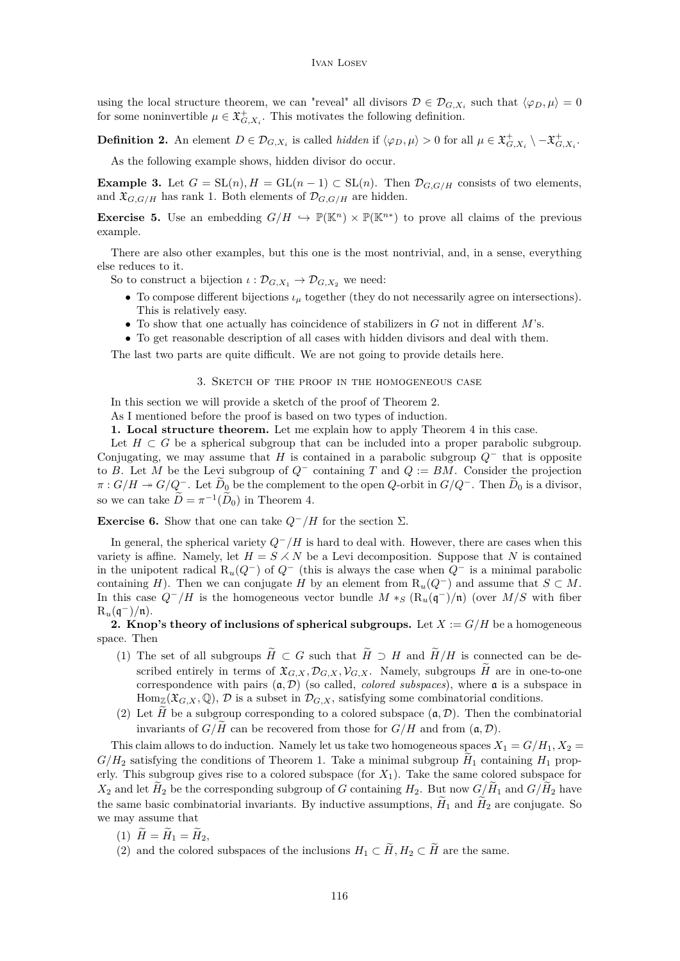<span id="page-4-0"></span>using the local structure theorem, we can "reveal" all divisors  $\mathcal{D} \in \mathcal{D}_{G,X_i}$  such that  $\langle \varphi_D, \mu \rangle = 0$ for some noninvertible  $\mu \in \mathfrak{X}^+_{G,X_i}$ . This motivates the following definition.

**Definition 2.** An element  $D \in \mathcal{D}_{G,X_i}$  is called *hidden* if  $\langle \varphi_D, \mu \rangle > 0$  for all  $\mu \in \mathfrak{X}^+_{G,X_i} \setminus -\mathfrak{X}^+_{G,X_i}$ .

As the following example shows, hidden divisor do occur.

**Example 3.** Let  $G = SL(n)$ ,  $H = GL(n-1) \subset SL(n)$ . Then  $\mathcal{D}_{G,G/H}$  consists of two elements, and  $\mathfrak{X}_{G,G/H}$  has rank 1. Both elements of  $\mathcal{D}_{G,G/H}$  are hidden.

**Exercise 5.** Use an embedding  $G/H \hookrightarrow \mathbb{P}(\mathbb{K}^n) \times \mathbb{P}(\mathbb{K}^{n*})$  to prove all claims of the previous example.

There are also other examples, but this one is the most nontrivial, and, in a sense, everything else reduces to it.

So to construct a bijection  $\iota : \mathcal{D}_{G,X_1} \to \mathcal{D}_{G,X_2}$  we need:

- To compose different bijections *ι<sup>µ</sup>* together (they do not necessarily agree on intersections). This is relatively easy.
- To show that one actually has coincidence of stabilizers in *G* not in different *M*'s.
- To get reasonable description of all cases with hidden divisors and deal with them.

The last two parts are quite difficult. We are not going to provide details here.

### 3. Sketch of the proof in the homogeneous case

In this section we will provide a sketch of the proof of Theorem [2.](#page-2-0)

As I mentioned before the proof is based on two types of induction.

**1. Local structure theorem.** Let me explain how to apply Theorem [4](#page-3-0) in this case.

Let  $H \subset G$  be a spherical subgroup that can be included into a proper parabolic subgroup. Conjugating, we may assume that *H* is contained in a parabolic subgroup *Q*<sup>−</sup> that is opposite to *B*. Let *M* be the Levi subgroup of  $Q^-$  containing *T* and  $Q := BM$ . Consider the projection  $\pi$  :  $G/H \to G/Q^-$ . Let  $\widetilde{D}_0$  be the complement to the open *Q*-orbit in  $G/Q^-$ . Then  $\widetilde{D}_0$  is a divisor, so we can take  $\widetilde{D} = \pi^{-1}(\widetilde{D}_0)$  in Theorem [4.](#page-3-0)

**Exercise 6.** Show that one can take  $Q^-/H$  for the section  $\Sigma$ .

In general, the spherical variety  $Q^-/H$  is hard to deal with. However, there are cases when this variety is affine. Namely, let  $H = S \times N$  be a Levi decomposition. Suppose that N is contained in the unipotent radical R*u*(*Q*<sup>−</sup>) of *Q*<sup>−</sup> (this is always the case when *Q*<sup>−</sup> is a minimal parabolic containing *H*). Then we can conjugate *H* by an element from  $R_u(Q^-)$  and assume that  $S \subset M$ . In this case  $Q^{-}/H$  is the homogeneous vector bundle  $M *_{S} (\mathcal{R}_{u}(\mathfrak{q}^{-})/\mathfrak{n})$  (over  $M/S$  with fiber  $R_u(\mathfrak{q}^-)/\mathfrak{n}$ ).

**2. Knop's theory of inclusions of spherical subgroups.** Let  $X := G/H$  be a homogeneous space. Then

- (1) The set of all subgroups  $\widetilde{H} \subset G$  such that  $\widetilde{H} \supset H$  and  $\widetilde{H}/H$  is connected can be described entirely in terms of  $\mathfrak{X}_{G,X}, \mathcal{D}_{G,X}, \mathcal{V}_{G,X}$ . Namely, subgroups  $\widetilde{H}$  are in one-to-one correspondence with pairs (a*,* D) (so called, *colored subspaces*), where a is a subspace in  $\text{Hom}_{\mathbb{Z}}(\mathfrak{X}_{G,X},\mathbb{Q}),$  D is a subset in  $\mathcal{D}_{G,X}$ , satisfying some combinatorial conditions.
- (2) Let  $\hat{H}$  be a subgroup corresponding to a colored subspace  $(\mathfrak{a}, \mathcal{D})$ . Then the combinatorial invariants of  $G/H$  can be recovered from those for  $G/H$  and from  $(\mathfrak{a}, \mathcal{D})$ .

This claim allows to do induction. Namely let us take two homogeneous spaces  $X_1 = G/H_1, X_2 = G/H_2$  $G/H_2$  satisfying the conditions of Theorem [1.](#page-1-0) Take a minimal subgroup  $H_1$  containing  $H_1$  properly. This subgroup gives rise to a colored subspace (for *X*1). Take the same colored subspace for  $X_2$  and let  $H_2$  be the corresponding subgroup of *G* containing  $H_2$ . But now  $G/H_1$  and  $G/H_2$  have the same basic combinatorial invariants. By inductive assumptions,  $H_1$  and  $H_2$  are conjugate. So we may assume that

- $(1) \ \tilde{H} = \tilde{H}_1 = \tilde{H}_2,$
- (2) and the colored subspaces of the inclusions  $H_1 \subset \widetilde{H}$ ,  $H_2 \subset \widetilde{H}$  are the same.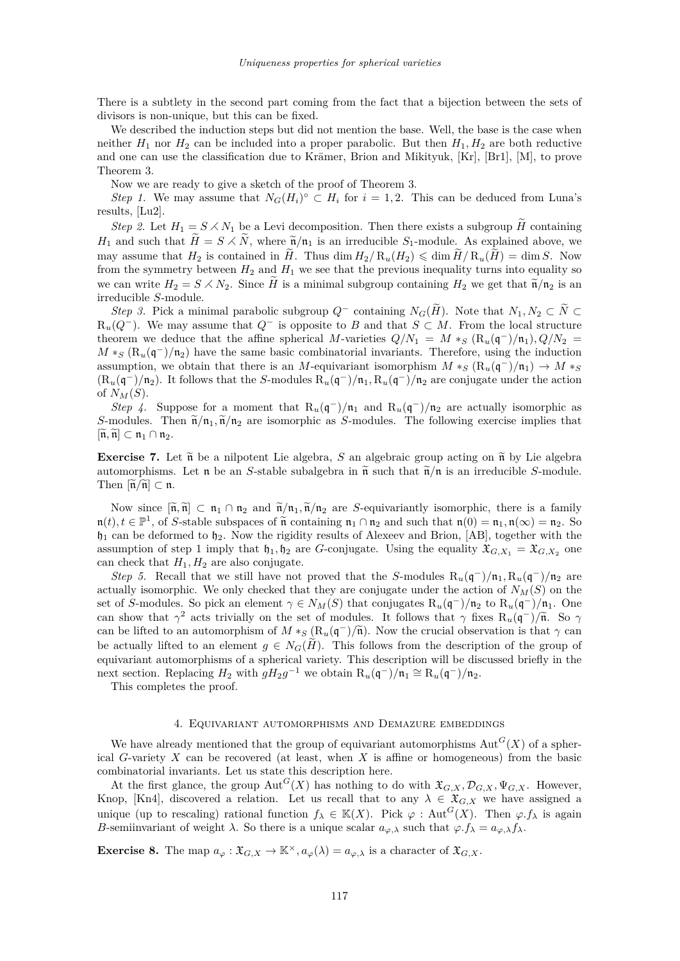<span id="page-5-0"></span>There is a subtlety in the second part coming from the fact that a bijection between the sets of divisors is non-unique, but this can be fixed.

We described the induction steps but did not mention the base. Well, the base is the case when neither  $H_1$  nor  $H_2$  can be included into a proper parabolic. But then  $H_1, H_2$  are both reductive and one can use the classification due to Krämer, Brion and Mikityuk, [\[Kr\]](#page-7-0), [\[Br1\]](#page-7-0), [\[M\]](#page-8-0), to prove Theorem [3.](#page-2-0)

Now we are ready to give a sketch of the proof of Theorem [3.](#page-2-0)

*Step 1.* We may assume that  $N_G(H_i)^\circ \subset H_i$  for  $i = 1, 2$ . This can be deduced from Luna's results, [\[Lu2\]](#page-8-0).

*Step 2.* Let  $H_1 = S \times N_1$  be a Levi decomposition. Then there exists a subgroup *H* containing *H*<sub>1</sub> and such that  $\widetilde{H} = S \times \widetilde{N}$ , where  $\widetilde{n}/n_1$  is an irreducible *S*<sub>1</sub>-module. As explained above, we may assume that  $H_2$  is contained in  $\widetilde{H}$ . Thus dim  $H_2/R_u(H_2) \leq \dim \widetilde{H}/R_u(\widetilde{H}) = \dim S$ . Now from the symmetry between  $H_2$  and  $H_1$  we see that the previous inequality turns into equality so we can write  $H_2 = S \times N_2$ . Since  $\widetilde{H}$  is a minimal subgroup containing  $H_2$  we get that  $\widetilde{n}/n_2$  is an irreducible *S*-module.

*Step 3.* Pick a minimal parabolic subgroup  $Q^-$  containing  $N_G(\widetilde{H})$ . Note that  $N_1, N_2 \subset \widetilde{N} \subset$  $R_u(Q^-)$ . We may assume that  $Q^-$  is opposite to *B* and that  $S \subset M$ . From the local structure theorem we deduce that the affine spherical *M*-varieties  $Q/N_1 = M *_{S} (\text{R}_{u}(\mathfrak{q}^-)/\mathfrak{n}_1)$ ,  $Q/N_2 =$  $M *_{S} (\mathcal{R}_{u}(\mathfrak{q}^{-})/n_{2})$  have the same basic combinatorial invariants. Therefore, using the induction assumption, we obtain that there is an *M*-equivariant isomorphism  $M *_{S} (\mathcal{R}_{u}(\mathfrak{q}^{-})/\mathfrak{n}_{1}) \to M *_{S}$  $(R_u(\mathfrak{q}^-)/\mathfrak{n}_2)$ . It follows that the *S*-modules  $R_u(\mathfrak{q}^-)/\mathfrak{n}_1$ ,  $R_u(\mathfrak{q}^-)/\mathfrak{n}_2$  are conjugate under the action of  $N_M(S)$ .

*Step 4.* Suppose for a moment that  $R_u(\mathfrak{q}^-)/n_1$  and  $R_u(\mathfrak{q}^-)/n_2$  are actually isomorphic as *S*-modules. Then  $\tilde{n}/n_1$ ,  $\tilde{n}/n_2$  are isomorphic as *S*-modules. The following exercise implies that  $[\widetilde{\mathfrak{n}}, \widetilde{\mathfrak{n}}] \subset \mathfrak{n}_1 \cap \mathfrak{n}_2.$ 

**Exercise 7.** Let  $\tilde{n}$  be a nilpotent Lie algebra, *S* an algebraic group acting on  $\tilde{n}$  by Lie algebra automorphisms. Let  $\mathfrak n$  be an *S*-stable subalgebra in  $\tilde{\mathfrak n}$  such that  $\tilde{\mathfrak n}/\mathfrak n$  is an irreducible *S*-module. Then  $\left[\widetilde{\mathfrak{n}}/\widetilde{\mathfrak{n}}\right] \subset \mathfrak{n}$ .

Now since  $[\tilde{n}, \tilde{n}] \subset n_1 \cap n_2$  and  $\tilde{n}/n_1, \tilde{n}/n_2$  are *S*-equivariantly isomorphic, there is a family  $n(t), t \in \mathbb{P}^1$ , of *S*-stable subspaces of  $\tilde{n}$  containing  $n_1 \cap n_2$  and such that  $n(0) = n_1, n(\infty) = n_2$ . So  $\mathfrak{h}_1$  can be deformed to  $\mathfrak{h}_2$ . Now the rigidity results of Alexeev and Brion, [\[AB\]](#page-7-0), together with the assumption of step 1 imply that  $\mathfrak{h}_1, \mathfrak{h}_2$  are *G*-conjugate. Using the equality  $\mathfrak{X}_{G,X_1} = \mathfrak{X}_{G,X_2}$  one can check that  $H_1, H_2$  are also conjugate.

*Step 5.* Recall that we still have not proved that the *S*-modules  $R_u(\mathfrak{q}^-)/\mathfrak{n}_1$ ,  $R_u(\mathfrak{q}^-)/\mathfrak{n}_2$  are actually isomorphic. We only checked that they are conjugate under the action of  $N_M(S)$  on the set of *S*-modules. So pick an element  $\gamma \in N_M(S)$  that conjugates  $R_u(\mathfrak{q}^-)/\mathfrak{n}_2$  to  $R_u(\mathfrak{q}^-)/\mathfrak{n}_1$ . One can show that  $\gamma^2$  acts trivially on the set of modules. It follows that  $\gamma$  fixes  $R_u(\mathbf{q}^-)/\tilde{n}$ . So  $\gamma$ can be lifted to an automorphism of  $M *_{S} (\mathbf{R}_{u}(\mathfrak{q}^{-})/\tilde{\mathfrak{n}})$ . Now the crucial observation is that  $\gamma$  can be actually lifted to an element  $g \in N_G(\widetilde{H})$ . This follows from the description of the group of equivariant automorphisms of a spherical variety. This description will be discussed briefly in the next section. Replacing  $H_2$  with  $gH_2g^{-1}$  we obtain  $R_u(\mathfrak{q}^-)/\mathfrak{n}_1 \cong R_u(\mathfrak{q}^-)/\mathfrak{n}_2$ .

This completes the proof.

#### 4. Equivariant automorphisms and Demazure embeddings

We have already mentioned that the group of equivariant automorphisms  $Aut<sup>G</sup>(X)$  of a spherical *G*-variety *X* can be recovered (at least, when *X* is affine or homogeneous) from the basic combinatorial invariants. Let us state this description here.

At the first glance, the group  $Aut^G(X)$  has nothing to do with  $\mathfrak{X}_{G,X}, \mathcal{D}_{G,X}, \Psi_{G,X}$ . However, Knop, [\[Kn4\]](#page-7-0), discovered a relation. Let us recall that to any  $\lambda \in \mathfrak{X}_{G,X}$  we have assigned a unique (up to rescaling) rational function  $f_{\lambda} \in \mathbb{K}(X)$ . Pick  $\varphi$ : Aut<sup>*G*</sup>(*X*). Then  $\varphi$ . *f*<sub> $\lambda$ </sub> is again *B*-semiinvariant of weight  $\lambda$ . So there is a unique scalar  $a_{\varphi,\lambda}$  such that  $\varphi.f_{\lambda} = a_{\varphi,\lambda}f_{\lambda}$ .

**Exercise 8.** The map  $a_{\varphi}: \mathfrak{X}_{G,X} \to \mathbb{K}^{\times}, a_{\varphi}(\lambda) = a_{\varphi,\lambda}$  is a character of  $\mathfrak{X}_{G,X}$ .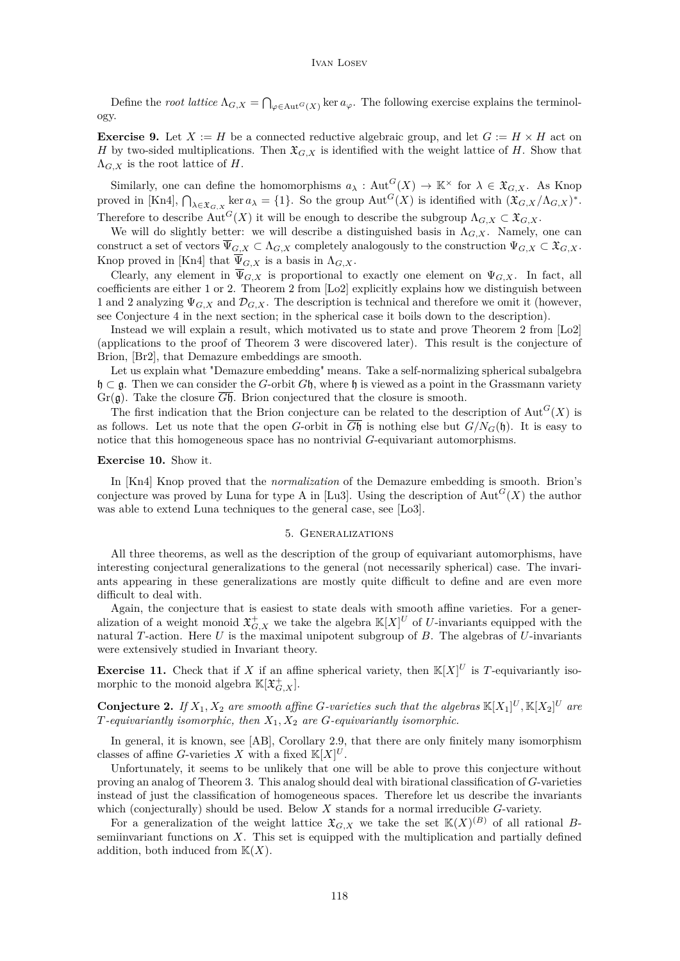<span id="page-6-0"></span>Define the *root lattice*  $\Lambda_{G,X} = \bigcap_{\varphi \in \text{Aut}^G(X)} \ker a_{\varphi}$ . The following exercise explains the terminology.

**Exercise 9.** Let  $X := H$  be a connected reductive algebraic group, and let  $G := H \times H$  act on *H* by two-sided multiplications. Then  $\mathfrak{X}_{G,X}$  is identified with the weight lattice of *H*. Show that  $\Lambda_{G,X}$  is the root lattice of *H*.

Similarly, one can define the homomorphisms  $a_{\lambda} : \text{Aut}^G(X) \to \mathbb{K}^{\times}$  for  $\lambda \in \mathfrak{X}_{G,X}$ . As Knop proved in [\[Kn4\]](#page-7-0),  $\bigcap_{\lambda \in \mathfrak{X}_{G,X}} \ker a_{\lambda} = \{1\}$ . So the group  $\text{Aut}^G(X)$  is identified with  $(\mathfrak{X}_{G,X}/\Lambda_{G,X})^*$ . Therefore to describe  $Aut^G(X)$  it will be enough to describe the subgroup  $\Lambda_{G,X} \subset \mathfrak{X}_{G,X}$ .

We will do slightly better: we will describe a distinguished basis in  $\Lambda_{G,X}$ . Namely, one can construct a set of vectors  $\overline{\Psi}_{G,X} \subset \Lambda_{G,X}$  completely analogously to the construction  $\Psi_{G,X} \subset \mathfrak{X}_{G,X}$ . Knop proved in [\[Kn4\]](#page-7-0) that  $\overline{\Psi}_{G,X}$  is a basis in  $\Lambda_{G,X}$ .

Clearly, any element in  $\overline{\Psi}_{G,X}$  is proportional to exactly one element on  $\Psi_{G,X}$ . In fact, all coefficients are either 1 or 2. Theorem 2 from [\[Lo2\]](#page-8-0) explicitly explains how we distinguish between 1 and 2 analyzing  $\Psi_{G,X}$  and  $\mathcal{D}_{G,X}$ . The description is technical and therefore we omit it (however, see Conjecture [4](#page-7-0) in the next section; in the spherical case it boils down to the description).

Instead we will explain a result, which motivated us to state and prove Theorem 2 from [\[Lo2\]](#page-8-0) (applications to the proof of Theorem [3](#page-2-0) were discovered later). This result is the conjecture of Brion, [\[Br2\]](#page-7-0), that Demazure embeddings are smooth.

Let us explain what "Demazure embedding" means. Take a self-normalizing spherical subalgebra h ⊂ g. Then we can consider the *G*-orbit *G*h, where h is viewed as a point in the Grassmann variety  $Gr(\mathfrak{g})$ . Take the closure  $\overline{G\mathfrak{h}}$ . Brion conjectured that the closure is smooth.

The first indication that the Brion conjecture can be related to the description of  $\text{Aut}^G(X)$  is as follows. Let us note that the open *G*-orbit in  $\overline{G}$ h is nothing else but  $G/N$ <sup>*G*(h). It is easy to</sup> notice that this homogeneous space has no nontrivial *G*-equivariant automorphisms.

#### **Exercise 10.** Show it.

In [\[Kn4\]](#page-7-0) Knop proved that the *normalization* of the Demazure embedding is smooth. Brion's conjecture was proved by Luna for type A in [\[Lu3\]](#page-8-0). Using the description of  $Aut<sup>G</sup>(X)$  the author was able to extend Luna techniques to the general case, see [\[Lo3\]](#page-8-0).

#### 5. Generalizations

All three theorems, as well as the description of the group of equivariant automorphisms, have interesting conjectural generalizations to the general (not necessarily spherical) case. The invariants appearing in these generalizations are mostly quite difficult to define and are even more difficult to deal with.

Again, the conjecture that is easiest to state deals with smooth affine varieties. For a generalization of a weight monoid  $\mathfrak{X}^+_{G,X}$  we take the algebra  $\mathbb{K}[X]^U$  of *U*-invariants equipped with the natural *T*-action. Here *U* is the maximal unipotent subgroup of *B*. The algebras of *U*-invariants were extensively studied in Invariant theory.

**Exercise 11.** Check that if *X* if an affine spherical variety, then  $\mathbb{K}[X]^U$  is *T*-equivariantly isomorphic to the monoid algebra  $\mathbb{K}[\mathfrak{X}^+_{G,X}].$ 

**Conjecture 2.** If  $X_1, X_2$  are smooth affine G-varieties such that the algebras  $\mathbb{K}[X_1]^U, \mathbb{K}[X_2]^U$  are *T-equivariantly isomorphic, then X*1*, X*<sup>2</sup> *are G-equivariantly isomorphic.*

In general, it is known, see [\[AB\]](#page-7-0), Corollary 2.9, that there are only finitely many isomorphism classes of affine *G*-varieties *X* with a fixed  $\mathbb{K}[X]^U$ .

Unfortunately, it seems to be unlikely that one will be able to prove this conjecture without proving an analog of Theorem [3.](#page-2-0) This analog should deal with birational classification of *G*-varieties instead of just the classification of homogeneous spaces. Therefore let us describe the invariants which (conjecturally) should be used. Below *X* stands for a normal irreducible *G*-variety.

For a generalization of the weight lattice  $\mathfrak{X}_{G,X}$  we take the set  $\mathbb{K}(X)^{(B)}$  of all rational *B*semiinvariant functions on *X*. This set is equipped with the multiplication and partially defined addition, both induced from  $K(X)$ .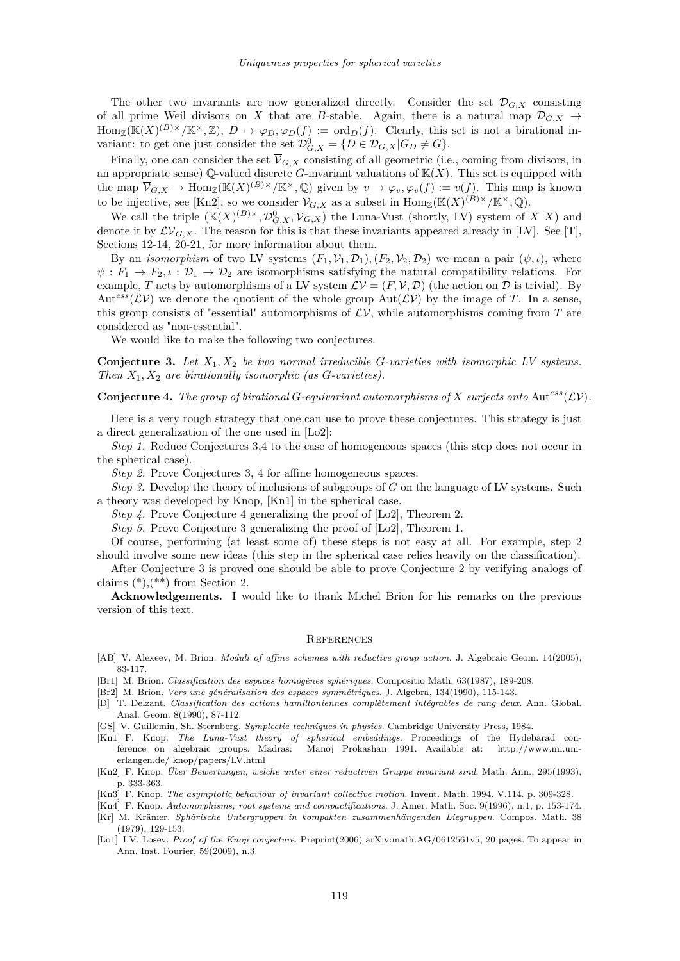<span id="page-7-0"></span>The other two invariants are now generalized directly. Consider the set  $\mathcal{D}_{G,X}$  consisting of all prime Weil divisors on *X* that are *B*-stable. Again, there is a natural map  $\mathcal{D}_{G,X} \rightarrow$  $\text{Hom}_{\mathbb{Z}}(\mathbb{K}(X)^{(B)\times}/\mathbb{K}^{\times},\mathbb{Z}), D \mapsto \varphi_D, \varphi_D(f) := \text{ord}_D(f)$ . Clearly, this set is not a birational invariant: to get one just consider the set  $\mathcal{D}_{G,X}^0 = \{D \in \mathcal{D}_{G,X} | G_D \neq G\}.$ 

Finally, one can consider the set  $\overline{\mathcal{V}}_{G,X}$  consisting of all geometric (i.e., coming from divisors, in an appropriate sense)  $\mathbb{Q}$ -valued discrete *G*-invariant valuations of  $\mathbb{K}(X)$ . This set is equipped with the map  $\overline{\mathcal{V}}_{G,X} \to \text{Hom}_{\mathbb{Z}}(\mathbb{K}(X)^{(B)\times}/\mathbb{K}^{\times},\mathbb{Q})$  given by  $v \mapsto \varphi_v, \varphi_v(f) := v(f)$ . This map is known to be injective, see [Kn2], so we consider  $\mathcal{V}_{G,X}$  as a subset in  $\text{Hom}_{\mathbb{Z}}(\mathbb{K}(X)^{(B)\times}/\mathbb{K}^{\times},\mathbb{Q})$ .

We call the triple  $(\mathbb{K}(X)^{(B)\times}, \mathcal{D}_{G,X}^0, \overline{V}_{G,X})$  the Luna-Vust (shortly, LV) system of *XX*) and denote it by  $\mathcal{LV}_{G,X}$ . The reason for this is that these invariants appeared already in [\[LV\]](#page-8-0). See [\[T\]](#page-8-0), Sections 12-14, 20-21, for more information about them.

By an *isomorphism* of two LV systems  $(F_1, \mathcal{V}_1, \mathcal{D}_1), (F_2, \mathcal{V}_2, \mathcal{D}_2)$  we mean a pair  $(\psi, \iota)$ , where  $\psi: F_1 \to F_2, \iota: \mathcal{D}_1 \to \mathcal{D}_2$  are isomorphisms satisfying the natural compatibility relations. For example, *T* acts by automorphisms of a LV system  $\mathcal{L}V = (F, V, \mathcal{D})$  (the action on  $\mathcal D$  is trivial). By  $Aut<sup>ess</sup>(\mathcal{L}V)$  we denote the quotient of the whole group  $Aut(\mathcal{L}V)$  by the image of *T*. In a sense, this group consists of "essential" automorphisms of  $L<sup>V</sup>$ , while automorphisms coming from *T* are considered as "non-essential".

We would like to make the following two conjectures.

**Conjecture 3.** *Let X*1*, X*<sup>2</sup> *be two normal irreducible G-varieties with isomorphic LV systems. Then X*1*, X*<sup>2</sup> *are birationally isomorphic (as G-varieties).*

**Conjecture 4.** The group of birational G-equivariant automorphisms of X surjects onto  $Aut^{ess}(\mathcal{LV})$ .

Here is a very rough strategy that one can use to prove these conjectures. This strategy is just a direct generalization of the one used in [\[Lo2\]](#page-8-0):

*Step 1.* Reduce Conjectures 3,4 to the case of homogeneous spaces (this step does not occur in the spherical case).

*Step 2.* Prove Conjectures 3, 4 for affine homogeneous spaces.

*Step 3.* Develop the theory of inclusions of subgroups of *G* on the language of LV systems. Such a theory was developed by Knop, [Kn1] in the spherical case.

*Step 4.* Prove Conjecture 4 generalizing the proof of [\[Lo2\]](#page-8-0), Theorem 2.

*Step 5.* Prove Conjecture 3 generalizing the proof of [\[Lo2\]](#page-8-0), Theorem 1.

Of course, performing (at least some of) these steps is not easy at all. For example, step 2 should involve some new ideas (this step in the spherical case relies heavily on the classification).

After Conjecture 3 is proved one should be able to prove Conjecture [2](#page-6-0) by verifying analogs of claims  $(*),(**)$  from Section 2.

**Acknowledgements.** I would like to thank Michel Brion for his remarks on the previous version of this text.

#### **REFERENCES**

[AB] V. Alexeev, M. Brion. *Moduli of affine schemes with reductive group action.* J. Algebraic Geom. 14(2005), 83-117.

[Br1] M. Brion. *Classification des espaces homogènes sphériques*. Compositio Math. 63(1987), 189-208.

- [Br2] M. Brion. *Vers une généralisation des espaces symmétriques*. J. Algebra, 134(1990), 115-143.
- [D] T. Delzant. *Classification des actions hamiltoniennes complètement intégrables de rang deux*. Ann. Global. Anal. Geom. 8(1990), 87-112.

[GS] V. Guillemin, Sh. Sternberg. *Symplectic techniques in physics*. Cambridge University Press, 1984.

- [Kn1] F. Knop. *The Luna-Vust theory of spherical embeddings*. Proceedings of the Hydebarad conference on algebraic groups. Madras: Manoj Prokashan 1991. Available at: http://www.mi.unierlangen.de/ knop/papers/LV.html
- [Kn2] F. Knop. *Über Bewertungen, welche unter einer reductiven Gruppe invariant sind*. Math. Ann., 295(1993), p. 333-363.
- [Kn3] F. Knop. *The asymptotic behaviour of invariant collective motion*. Invent. Math. 1994. V.114. p. 309-328.
- [Kn4] F. Knop. *Automorphisms, root systems and compactifications*. J. Amer. Math. Soc. 9(1996), n.1, p. 153-174.
- [Kr] M. Krämer. *Sphärische Untergruppen in kompakten zusammenhängenden Liegruppen*. Compos. Math. 38 (1979), 129-153.
- [Lo1] I.V. Losev. *Proof of the Knop conjecture*. Preprint(2006) arXiv:math.AG/0612561v5, 20 pages. To appear in Ann. Inst. Fourier, 59(2009), n.3.